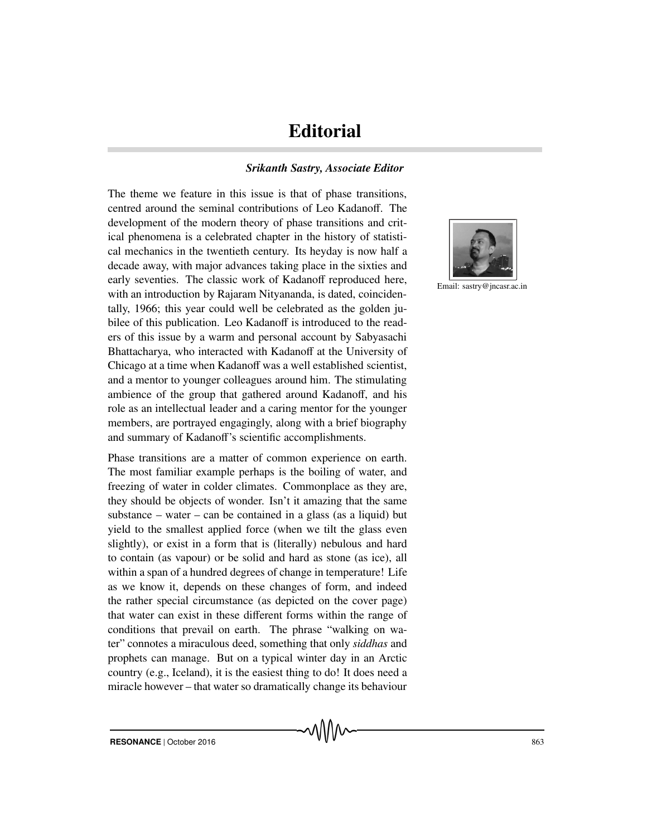## **Editorial**

## *Srikanth Sastry, Associate Editor*

The theme we feature in this issue is that of phase transitions, centred around the seminal contributions of Leo Kadanoff. The development of the modern theory of phase transitions and critical phenomena is a celebrated chapter in the history of statistical mechanics in the twentieth century. Its heyday is now half a decade away, with major advances taking place in the sixties and early seventies. The classic work of Kadanoff reproduced here, with an introduction by Rajaram Nityananda, is dated, coincidentally, 1966; this year could well be celebrated as the golden jubilee of this publication. Leo Kadanoff is introduced to the readers of this issue by a warm and personal account by Sabyasachi Bhattacharya, who interacted with Kadanoff at the University of Chicago at a time when Kadanoff was a well established scientist, and a mentor to younger colleagues around him. The stimulating ambience of the group that gathered around Kadanoff, and his role as an intellectual leader and a caring mentor for the younger members, are portrayed engagingly, along with a brief biography and summary of Kadanoff's scientific accomplishments.

Phase transitions are a matter of common experience on earth. The most familiar example perhaps is the boiling of water, and freezing of water in colder climates. Commonplace as they are, they should be objects of wonder. Isn't it amazing that the same substance – water – can be contained in a glass (as a liquid) but yield to the smallest applied force (when we tilt the glass even slightly), or exist in a form that is (literally) nebulous and hard to contain (as vapour) or be solid and hard as stone (as ice), all within a span of a hundred degrees of change in temperature! Life as we know it, depends on these changes of form, and indeed the rather special circumstance (as depicted on the cover page) that water can exist in these different forms within the range of conditions that prevail on earth. The phrase "walking on water" connotes a miraculous deed, something that only *siddhas* and prophets can manage. But on a typical winter day in an Arctic country (e.g., Iceland), it is the easiest thing to do! It does need a miracle however – that water so dramatically change its behaviour



Email: sastry@jncasr.ac.in